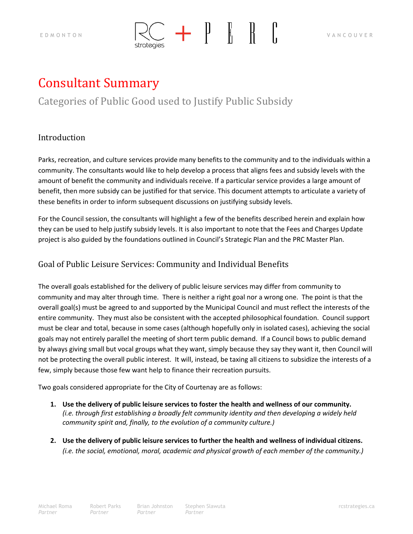

# Consultant Summary

# Categories of Public Good used to Justify Public Subsidy

## Introduction

Parks, recreation, and culture services provide many benefits to the community and to the individuals within a community. The consultants would like to help develop a process that aligns fees and subsidy levels with the amount of benefit the community and individuals receive. If a particular service provides a large amount of benefit, then more subsidy can be justified for that service. This document attempts to articulate a variety of these benefits in order to inform subsequent discussions on justifying subsidy levels.

For the Council session, the consultants will highlight a few of the benefits described herein and explain how they can be used to help justify subsidy levels. It is also important to note that the Fees and Charges Update project is also guided by the foundations outlined in Council's Strategic Plan and the PRC Master Plan.

## Goal of Public Leisure Services: Community and Individual Benefits

The overall goals established for the delivery of public leisure services may differ from community to community and may alter through time. There is neither a right goal nor a wrong one. The point is that the overall goal(s) must be agreed to and supported by the Municipal Council and must reflect the interests of the entire community. They must also be consistent with the accepted philosophical foundation. Council support must be clear and total, because in some cases (although hopefully only in isolated cases), achieving the social goals may not entirely parallel the meeting of short term public demand. If a Council bows to public demand by always giving small but vocal groups what they want, simply because they say they want it, then Council will not be protecting the overall public interest. It will, instead, be taxing all citizens to subsidize the interests of a few, simply because those few want help to finance their recreation pursuits.

Two goals considered appropriate for the City of Courtenay are as follows:

- **1. Use the delivery of public leisure services to foster the health and wellness of our community.** *(i.e. through first establishing a broadly felt community identity and then developing a widely held community spirit and, finally, to the evolution of a community culture.)*
- **2. Use the delivery of public leisure services to further the health and wellness of individual citizens.** *(i.e. the social, emotional, moral, academic and physical growth of each member of the community.)*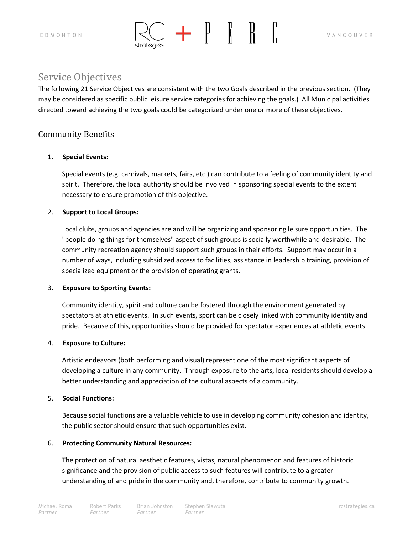



# Service Objectives

The following 21 Service Objectives are consistent with the two Goals described in the previous section. (They may be considered as specific public leisure service categories for achieving the goals.) All Municipal activities directed toward achieving the two goals could be categorized under one or more of these objectives.

## Community Benefits

## 1. **Special Events:**

Special events (e.g. carnivals, markets, fairs, etc.) can contribute to a feeling of community identity and spirit. Therefore, the local authority should be involved in sponsoring special events to the extent necessary to ensure promotion of this objective.

## 2. **Support to Local Groups:**

Local clubs, groups and agencies are and will be organizing and sponsoring leisure opportunities. The "people doing things for themselves" aspect of such groups is socially worthwhile and desirable. The community recreation agency should support such groups in their efforts. Support may occur in a number of ways, including subsidized access to facilities, assistance in leadership training, provision of specialized equipment or the provision of operating grants.

## 3. **Exposure to Sporting Events:**

Community identity, spirit and culture can be fostered through the environment generated by spectators at athletic events. In such events, sport can be closely linked with community identity and pride. Because of this, opportunities should be provided for spectator experiences at athletic events.

## 4. **Exposure to Culture:**

Artistic endeavors (both performing and visual) represent one of the most significant aspects of developing a culture in any community. Through exposure to the arts, local residents should develop a better understanding and appreciation of the cultural aspects of a community.

## 5. **Social Functions:**

Because social functions are a valuable vehicle to use in developing community cohesion and identity, the public sector should ensure that such opportunities exist.

## 6. **Protecting Community Natural Resources:**

The protection of natural aesthetic features, vistas, natural phenomenon and features of historic significance and the provision of public access to such features will contribute to a greater understanding of and pride in the community and, therefore, contribute to community growth.

Brian Johnston *Partner*

Stephen Slawuta **rational control of the stephen Slawuta** restrategies.ca *Partner*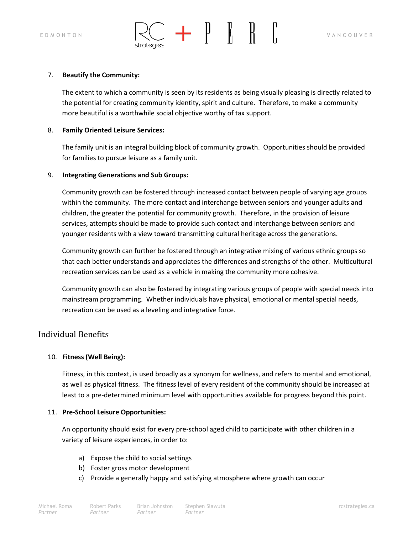

### 7. **Beautify the Community:**

The extent to which a community is seen by its residents as being visually pleasing is directly related to the potential for creating community identity, spirit and culture. Therefore, to make a community more beautiful is a worthwhile social objective worthy of tax support.

#### 8. **Family Oriented Leisure Services:**

The family unit is an integral building block of community growth. Opportunities should be provided for families to pursue leisure as a family unit.

### 9. **Integrating Generations and Sub Groups:**

strategie:

Community growth can be fostered through increased contact between people of varying age groups within the community. The more contact and interchange between seniors and younger adults and children, the greater the potential for community growth. Therefore, in the provision of leisure services, attempts should be made to provide such contact and interchange between seniors and younger residents with a view toward transmitting cultural heritage across the generations.

Community growth can further be fostered through an integrative mixing of various ethnic groups so that each better understands and appreciates the differences and strengths of the other. Multicultural recreation services can be used as a vehicle in making the community more cohesive.

Community growth can also be fostered by integrating various groups of people with special needs into mainstream programming. Whether individuals have physical, emotional or mental special needs, recreation can be used as a leveling and integrative force.

## Individual Benefits

## 10*.* **Fitness (Well Being):**

Fitness, in this context, is used broadly as a synonym for wellness, and refers to mental and emotional, as well as physical fitness. The fitness level of every resident of the community should be increased at least to a pre-determined minimum level with opportunities available for progress beyond this point.

## 11. **Pre-School Leisure Opportunities:**

An opportunity should exist for every pre-school aged child to participate with other children in a variety of leisure experiences, in order to:

- a) Expose the child to social settings
- b) Foster gross motor development
- c) Provide a generally happy and satisfying atmosphere where growth can occur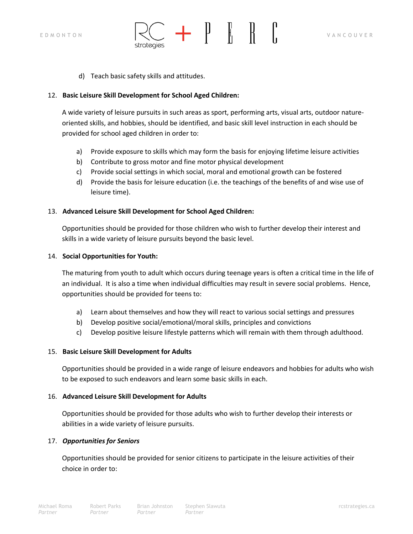

d) Teach basic safety skills and attitudes.

## 12. **Basic Leisure Skill Development for School Aged Children:**

A wide variety of leisure pursuits in such areas as sport, performing arts, visual arts, outdoor natureoriented skills, and hobbies, should be identified, and basic skill level instruction in each should be provided for school aged children in order to:

- a) Provide exposure to skills which may form the basis for enjoying lifetime leisure activities
- b) Contribute to gross motor and fine motor physical development
- c) Provide social settings in which social, moral and emotional growth can be fostered
- d) Provide the basis for leisure education (i.e. the teachings of the benefits of and wise use of leisure time).

## 13. **Advanced Leisure Skill Development for School Aged Children:**

Opportunities should be provided for those children who wish to further develop their interest and skills in a wide variety of leisure pursuits beyond the basic level.

## 14. **Social Opportunities for Youth:**

The maturing from youth to adult which occurs during teenage years is often a critical time in the life of an individual. It is also a time when individual difficulties may result in severe social problems. Hence, opportunities should be provided for teens to:

- a) Learn about themselves and how they will react to various social settings and pressures
- b) Develop positive social/emotional/moral skills, principles and convictions
- c) Develop positive leisure lifestyle patterns which will remain with them through adulthood.

## 15. **Basic Leisure Skill Development for Adults**

Opportunities should be provided in a wide range of leisure endeavors and hobbies for adults who wish to be exposed to such endeavors and learn some basic skills in each.

## 16. **Advanced Leisure Skill Development for Adults**

Opportunities should be provided for those adults who wish to further develop their interests or abilities in a wide variety of leisure pursuits.

## 17. *Opportunities for Seniors*

Opportunities should be provided for senior citizens to participate in the leisure activities of their choice in order to: